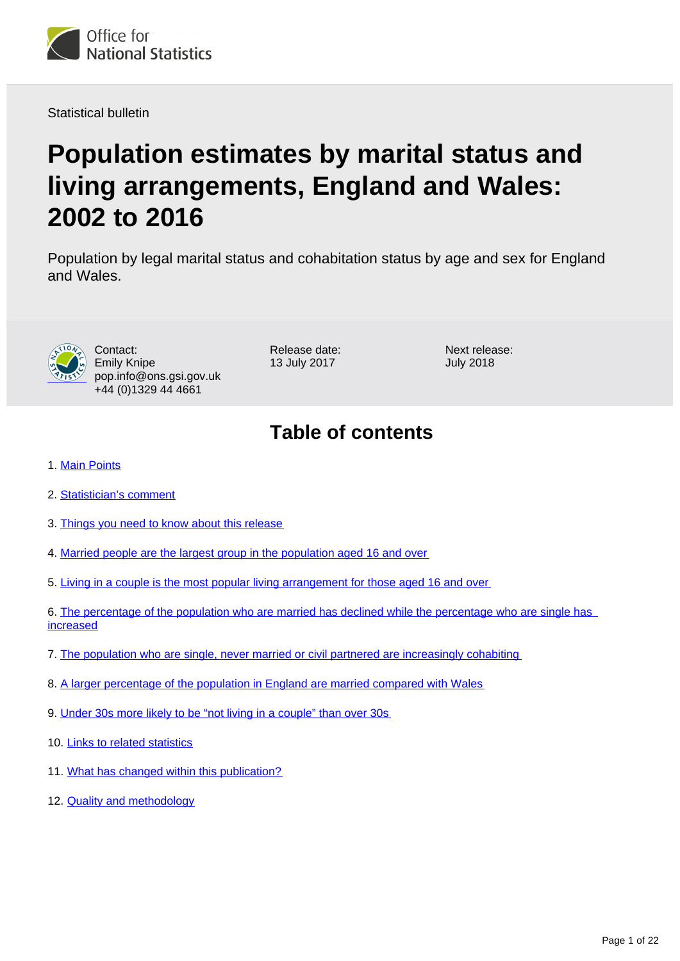

Statistical bulletin

# **Population estimates by marital status and living arrangements, England and Wales: 2002 to 2016**

Population by legal marital status and cohabitation status by age and sex for England and Wales.



Contact: Emily Knipe pop.info@ons.gsi.gov.uk +44 (0)1329 44 4661

Release date: 13 July 2017

Next release: July 2018

# **Table of contents**

- 1. [Main Points](#page-1-0)
- 2. [Statistician's comment](#page-1-1)
- 3. [Things you need to know about this release](#page-1-2)
- 4. [Married people are the largest group in the population aged 16 and over](#page-2-0)
- 5. [Living in a couple is the most popular living arrangement for those aged 16 and over](#page-3-0)
- 6. [The percentage of the population who are married has declined while the percentage who are single has](#page-6-0)  [increased](#page-6-0)
- 7. [The population who are single, never married or civil partnered are increasingly cohabiting](#page-9-0)
- 8. [A larger percentage of the population in England are married compared with Wales](#page-11-0)
- 9. [Under 30s more likely to be "not living in a couple" than over 30s](#page-15-0)
- 10. [Links to related statistics](#page-20-0)
- 11. [What has changed within this publication?](#page-20-1)
- 12. [Quality and methodology](#page-20-2)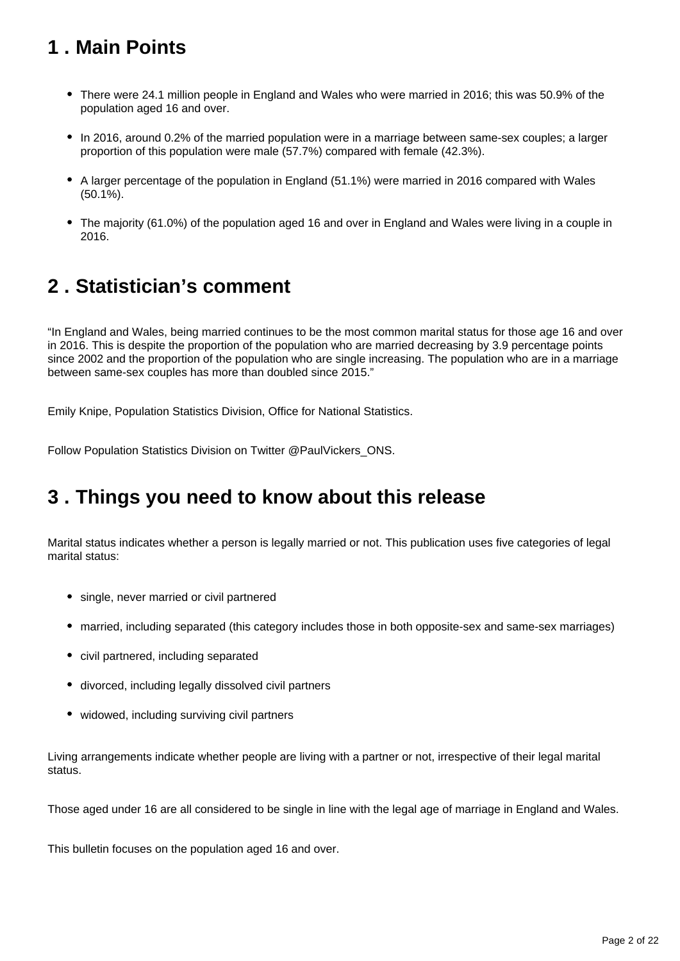# <span id="page-1-0"></span>**1 . Main Points**

- There were 24.1 million people in England and Wales who were married in 2016; this was 50.9% of the population aged 16 and over.
- In 2016, around 0.2% of the married population were in a marriage between same-sex couples; a larger proportion of this population were male (57.7%) compared with female (42.3%).
- A larger percentage of the population in England (51.1%) were married in 2016 compared with Wales (50.1%).
- The majority (61.0%) of the population aged 16 and over in England and Wales were living in a couple in 2016.

### <span id="page-1-1"></span>**2 . Statistician's comment**

"In England and Wales, being married continues to be the most common marital status for those age 16 and over in 2016. This is despite the proportion of the population who are married decreasing by 3.9 percentage points since 2002 and the proportion of the population who are single increasing. The population who are in a marriage between same-sex couples has more than doubled since 2015."

Emily Knipe, Population Statistics Division, Office for National Statistics.

Follow Population Statistics Division on Twitter @PaulVickers\_ONS.

### <span id="page-1-2"></span>**3 . Things you need to know about this release**

Marital status indicates whether a person is legally married or not. This publication uses five categories of legal marital status:

- single, never married or civil partnered
- married, including separated (this category includes those in both opposite-sex and same-sex marriages)
- civil partnered, including separated
- divorced, including legally dissolved civil partners
- widowed, including surviving civil partners

Living arrangements indicate whether people are living with a partner or not, irrespective of their legal marital status.

Those aged under 16 are all considered to be single in line with the legal age of marriage in England and Wales.

This bulletin focuses on the population aged 16 and over.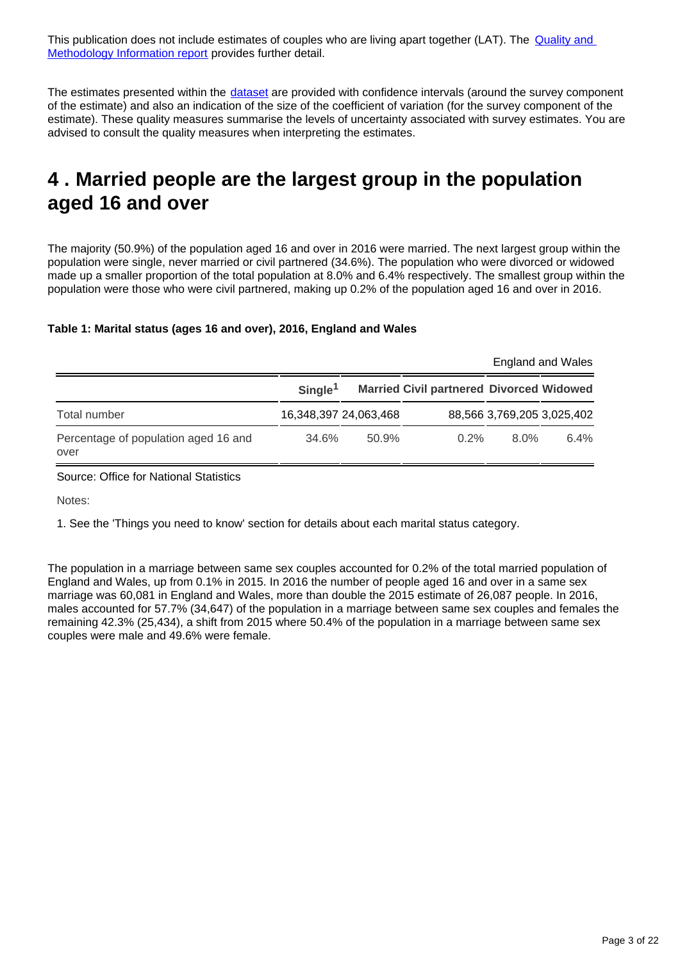This publication does not include estimates of couples who are living apart together (LAT). The **Quality and** [Methodology Information report](https://www.ons.gov.uk/peoplepopulationandcommunity/populationandmigration/populationestimates/qmis/populationestimatesbymaritalstatusandlivingarrangementsqmi) provides further detail.

The estimates presented within the [dataset](https://www.ons.gov.uk/peoplepopulationandcommunity/populationandmigration/populationestimates/datasets/populationestimatesbymaritalstatusandlivingarrangements) are provided with confidence intervals (around the survey component of the estimate) and also an indication of the size of the coefficient of variation (for the survey component of the estimate). These quality measures summarise the levels of uncertainty associated with survey estimates. You are advised to consult the quality measures when interpreting the estimates.

### <span id="page-2-0"></span>**4 . Married people are the largest group in the population aged 16 and over**

The majority (50.9%) of the population aged 16 and over in 2016 were married. The next largest group within the population were single, never married or civil partnered (34.6%). The population who were divorced or widowed made up a smaller proportion of the total population at 8.0% and 6.4% respectively. The smallest group within the population were those who were civil partnered, making up 0.2% of the population aged 16 and over in 2016.

### **Table 1: Marital status (ages 16 and over), 2016, England and Wales**

|                                              |                     |                       |                                                 | England and Wales |                            |
|----------------------------------------------|---------------------|-----------------------|-------------------------------------------------|-------------------|----------------------------|
|                                              | Single <sup>1</sup> |                       | <b>Married Civil partnered Divorced Widowed</b> |                   |                            |
| Total number                                 |                     | 16,348,397 24,063,468 |                                                 |                   | 88,566 3,769,205 3,025,402 |
| Percentage of population aged 16 and<br>over | 34.6%               | $50.9\%$              | $0.2\%$                                         | 8.0%              | 6.4%                       |

Source: Office for National Statistics

Notes:

1. See the 'Things you need to know' section for details about each marital status category.

The population in a marriage between same sex couples accounted for 0.2% of the total married population of England and Wales, up from 0.1% in 2015. In 2016 the number of people aged 16 and over in a same sex marriage was 60,081 in England and Wales, more than double the 2015 estimate of 26,087 people. In 2016, males accounted for 57.7% (34,647) of the population in a marriage between same sex couples and females the remaining 42.3% (25,434), a shift from 2015 where 50.4% of the population in a marriage between same sex couples were male and 49.6% were female.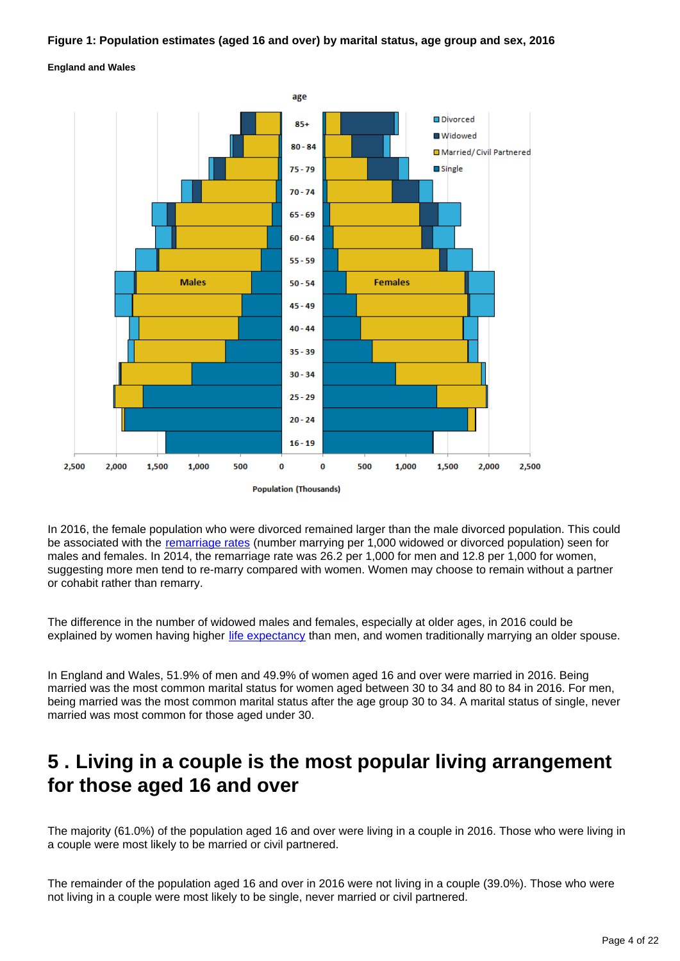### **Figure 1: Population estimates (aged 16 and over) by marital status, age group and sex, 2016**





In 2016, the female population who were divorced remained larger than the male divorced population. This could be associated with the [remarriage rates](https://www.ons.gov.uk/peoplepopulationandcommunity/birthsdeathsandmarriages/marriagecohabitationandcivilpartnerships/bulletins/marriagesinenglandandwalesprovisional/2013) (number marrying per 1,000 widowed or divorced population) seen for males and females. In 2014, the remarriage rate was 26.2 per 1,000 for men and 12.8 per 1,000 for women, suggesting more men tend to re-marry compared with women. Women may choose to remain without a partner or cohabit rather than remarry.

The difference in the number of widowed males and females, especially at older ages, in 2016 could be explained by women having higher [life expectancy](http://www.ons.gov.uk/peoplepopulationandcommunity/birthsdeathsandmarriages/lifeexpectancies/bulletins/nationallifetablesunitedkingdom/2015-09-23) than men, and women traditionally marrying an older spouse.

In England and Wales, 51.9% of men and 49.9% of women aged 16 and over were married in 2016. Being married was the most common marital status for women aged between 30 to 34 and 80 to 84 in 2016. For men, being married was the most common marital status after the age group 30 to 34. A marital status of single, never married was most common for those aged under 30.

### <span id="page-3-0"></span>**5 . Living in a couple is the most popular living arrangement for those aged 16 and over**

The majority (61.0%) of the population aged 16 and over were living in a couple in 2016. Those who were living in a couple were most likely to be married or civil partnered.

The remainder of the population aged 16 and over in 2016 were not living in a couple (39.0%). Those who were not living in a couple were most likely to be single, never married or civil partnered.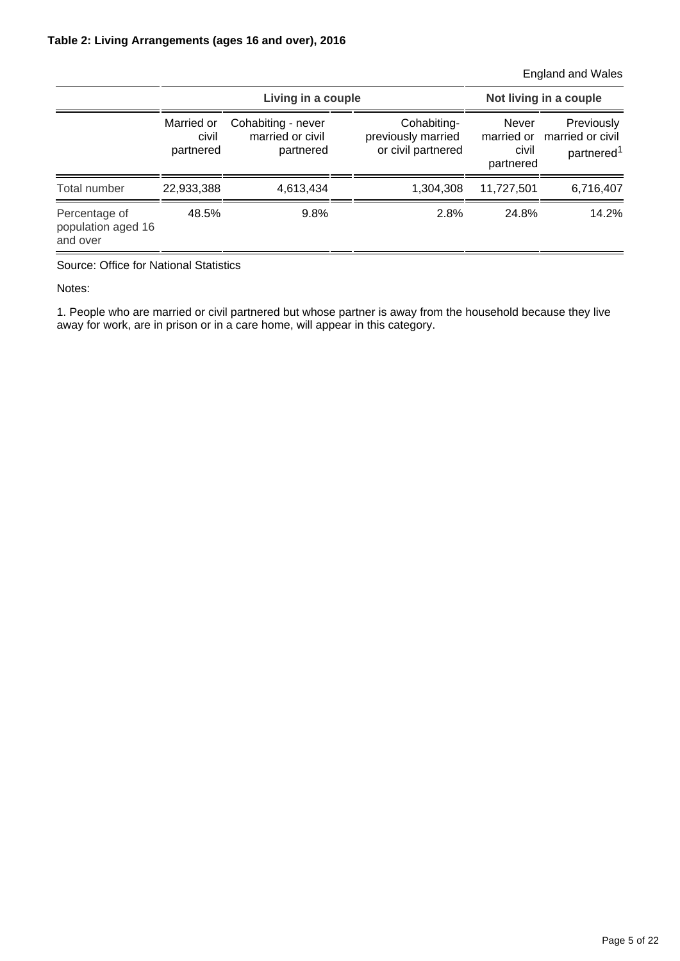England and Wales

|                                                 |                                  | Living in a couple                                  | Not living in a couple                                  |                                                  |                                                          |
|-------------------------------------------------|----------------------------------|-----------------------------------------------------|---------------------------------------------------------|--------------------------------------------------|----------------------------------------------------------|
|                                                 | Married or<br>civil<br>partnered | Cohabiting - never<br>married or civil<br>partnered | Cohabiting-<br>previously married<br>or civil partnered | <b>Never</b><br>married or<br>civil<br>partnered | Previously<br>married or civil<br>partnered <sup>1</sup> |
| Total number                                    | 22,933,388                       | 4,613,434                                           | 1,304,308                                               | 11,727,501                                       | 6,716,407                                                |
| Percentage of<br>population aged 16<br>and over | 48.5%                            | 9.8%                                                | 2.8%                                                    | 24.8%                                            | 14.2%                                                    |

Source: Office for National Statistics

Notes:

1. People who are married or civil partnered but whose partner is away from the household because they live away for work, are in prison or in a care home, will appear in this category.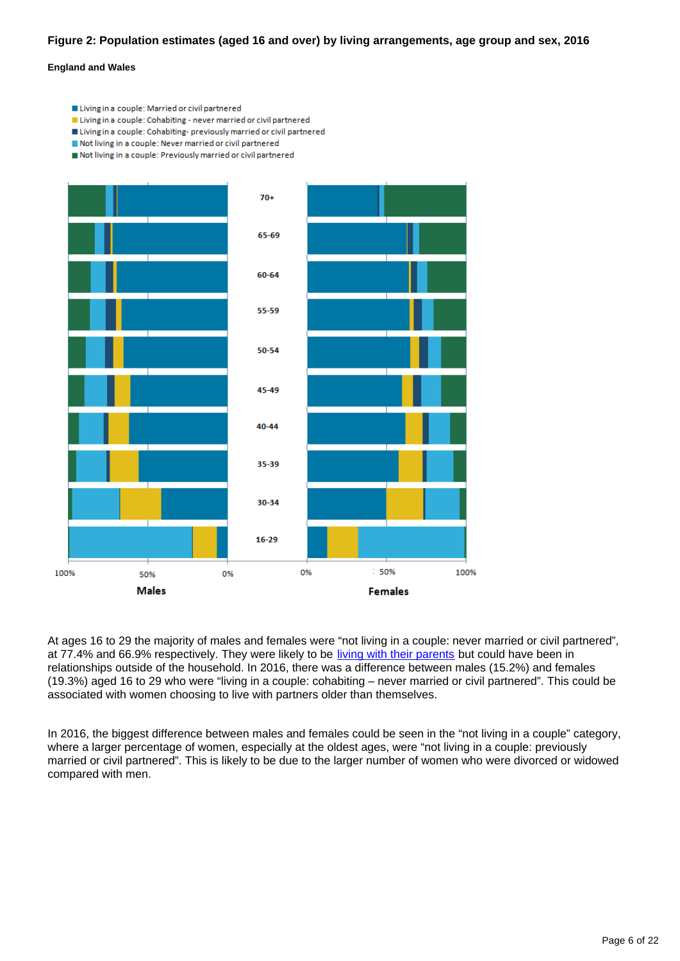### **Figure 2: Population estimates (aged 16 and over) by living arrangements, age group and sex, 2016**

#### **England and Wales**

- Living in a couple: Married or civil partnered
- Living in a couple: Cohabiting never married or civil partnered
- Living in a couple: Cohabiting- previously married or civil partnered
- Not living in a couple: Never married or civil partnered
- Not living in a couple: Previously married or civil partnered



At ages 16 to 29 the majority of males and females were "not living in a couple: never married or civil partnered", at 77.4% and 66.9% respectively. They were likely to be [living with their parents](https://www.ons.gov.uk/peoplepopulationandcommunity/birthsdeathsandmarriages/families/bulletins/familiesandhouseholds/2015-11-05) but could have been in relationships outside of the household. In 2016, there was a difference between males (15.2%) and females (19.3%) aged 16 to 29 who were "living in a couple: cohabiting – never married or civil partnered". This could be associated with women choosing to live with partners older than themselves.

In 2016, the biggest difference between males and females could be seen in the "not living in a couple" category, where a larger percentage of women, especially at the oldest ages, were "not living in a couple: previously married or civil partnered". This is likely to be due to the larger number of women who were divorced or widowed compared with men.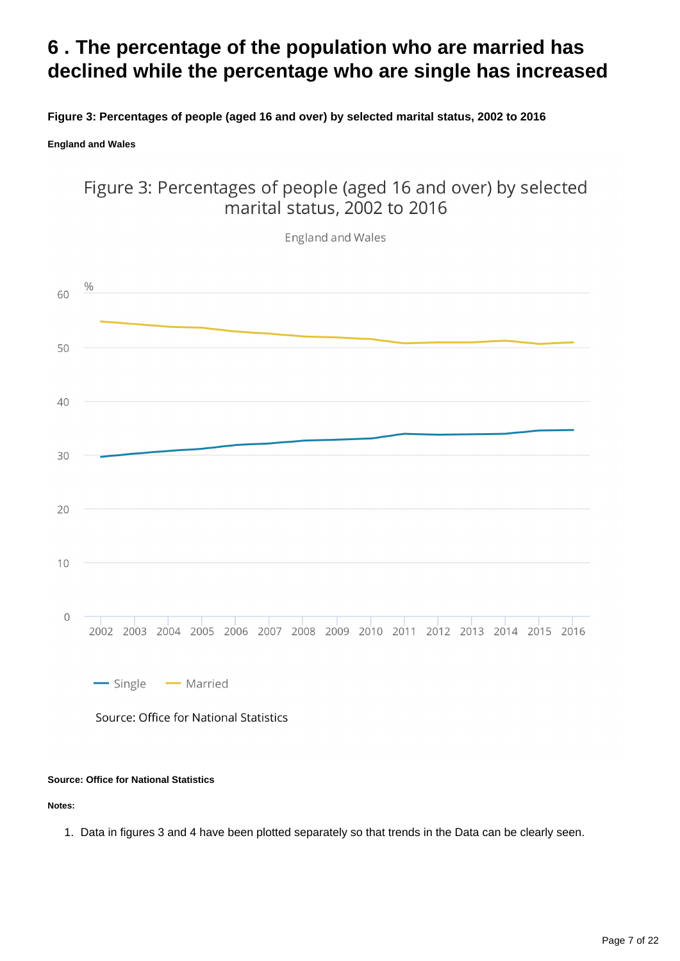### <span id="page-6-0"></span>**6 . The percentage of the population who are married has declined while the percentage who are single has increased**

**Figure 3: Percentages of people (aged 16 and over) by selected marital status, 2002 to 2016**

**England and Wales**

### Figure 3: Percentages of people (aged 16 and over) by selected marital status, 2002 to 2016



### **Source: Office for National Statistics**

**Notes:**

1. Data in figures 3 and 4 have been plotted separately so that trends in the Data can be clearly seen.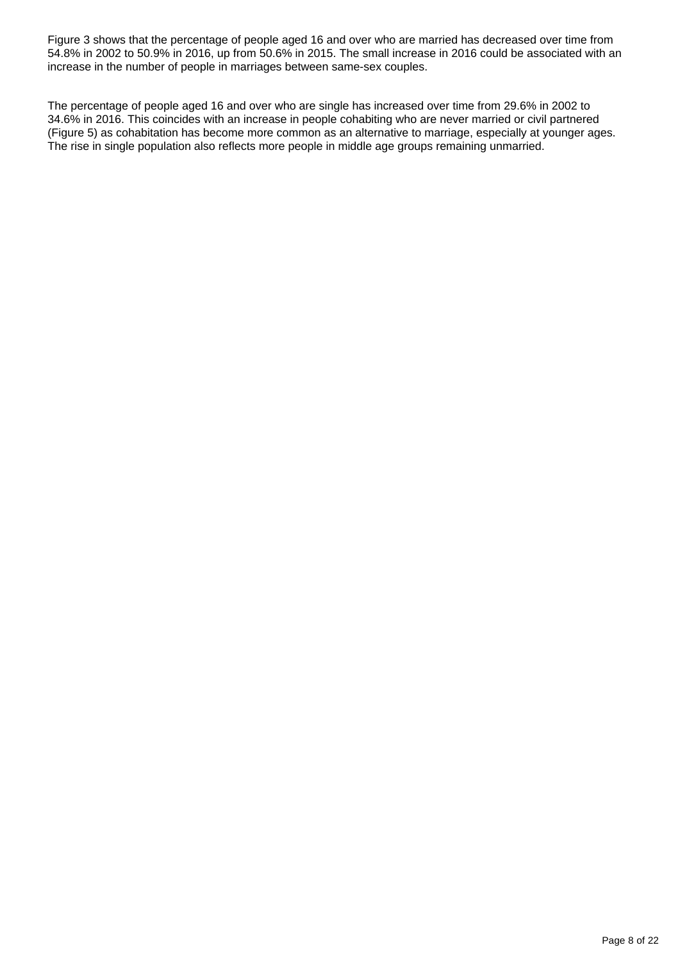Figure 3 shows that the percentage of people aged 16 and over who are married has decreased over time from 54.8% in 2002 to 50.9% in 2016, up from 50.6% in 2015. The small increase in 2016 could be associated with an increase in the number of people in marriages between same-sex couples.

The percentage of people aged 16 and over who are single has increased over time from 29.6% in 2002 to 34.6% in 2016. This coincides with an increase in people cohabiting who are never married or civil partnered (Figure 5) as cohabitation has become more common as an alternative to marriage, especially at younger ages. The rise in single population also reflects more people in middle age groups remaining unmarried.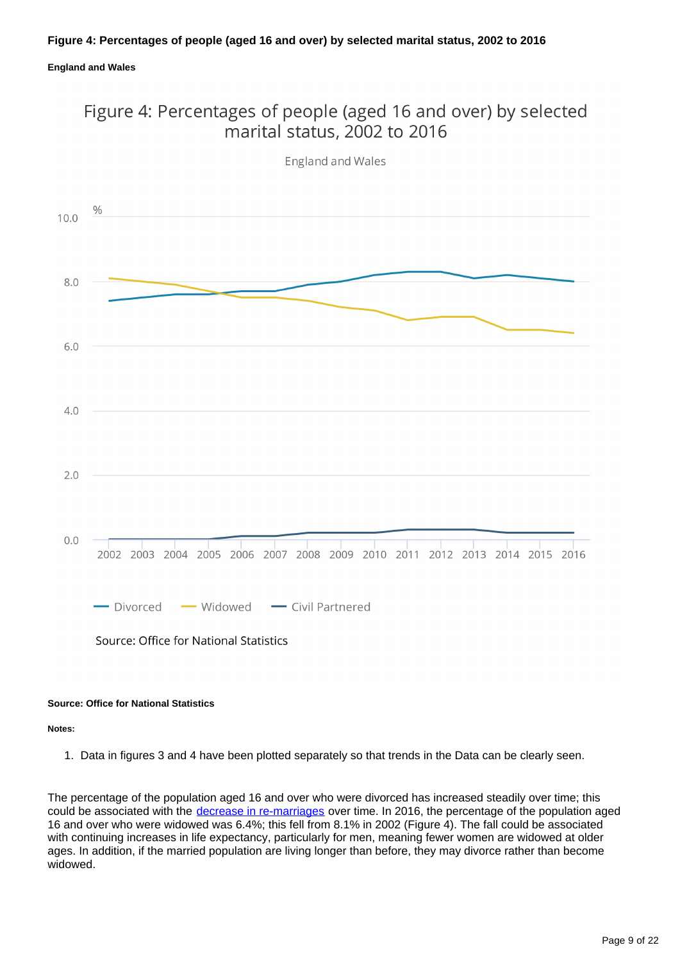### **Figure 4: Percentages of people (aged 16 and over) by selected marital status, 2002 to 2016**

### **England and Wales**

### Figure 4: Percentages of people (aged 16 and over) by selected marital status, 2002 to 2016



England and Wales

#### **Source: Office for National Statistics**

**Notes:**

1. Data in figures 3 and 4 have been plotted separately so that trends in the Data can be clearly seen.

The percentage of the population aged 16 and over who were divorced has increased steadily over time; this could be associated with the [decrease in re-marriages](http://www.ons.gov.uk/peoplepopulationandcommunity/birthsdeathsandmarriages/marriagecohabitationandcivilpartnerships/bulletins/marriagesinenglandandwalesprovisional/2013) over time. In 2016, the percentage of the population aged 16 and over who were widowed was 6.4%; this fell from 8.1% in 2002 (Figure 4). The fall could be associated with continuing increases in life expectancy, particularly for men, meaning fewer women are widowed at older ages. In addition, if the married population are living longer than before, they may divorce rather than become widowed.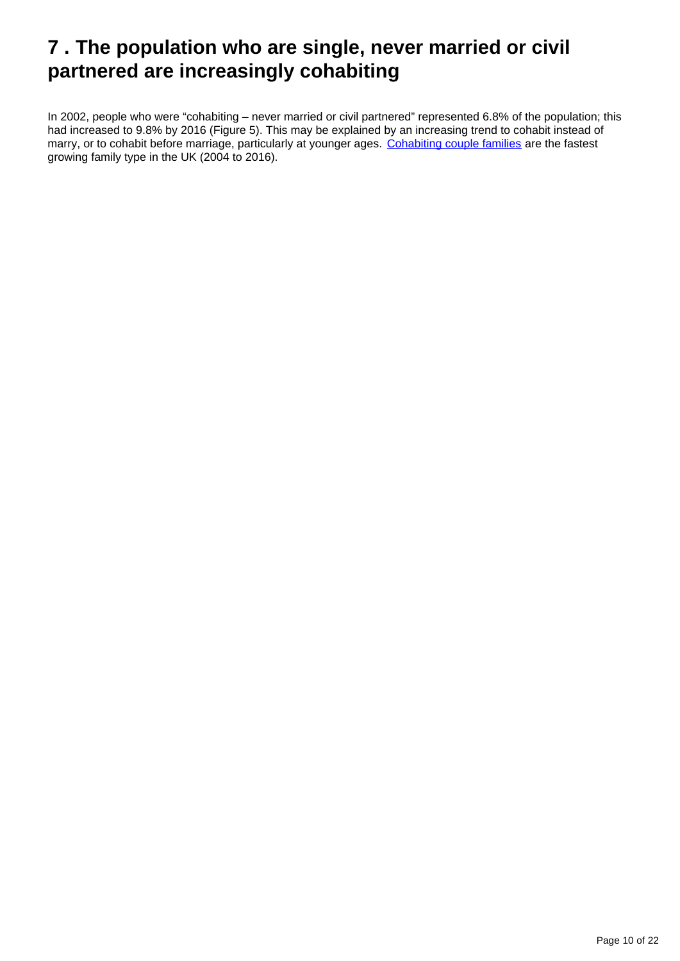### <span id="page-9-0"></span>**7 . The population who are single, never married or civil partnered are increasingly cohabiting**

In 2002, people who were "cohabiting – never married or civil partnered" represented 6.8% of the population; this had increased to 9.8% by 2016 (Figure 5). This may be explained by an increasing trend to cohabit instead of marry, or to cohabit before marriage, particularly at younger ages. [Cohabiting couple families](http://www.ons.gov.uk/peoplepopulationandcommunity/birthsdeathsandmarriages/families/bulletins/familiesandhouseholds/2015-11-05) are the fastest growing family type in the UK (2004 to 2016).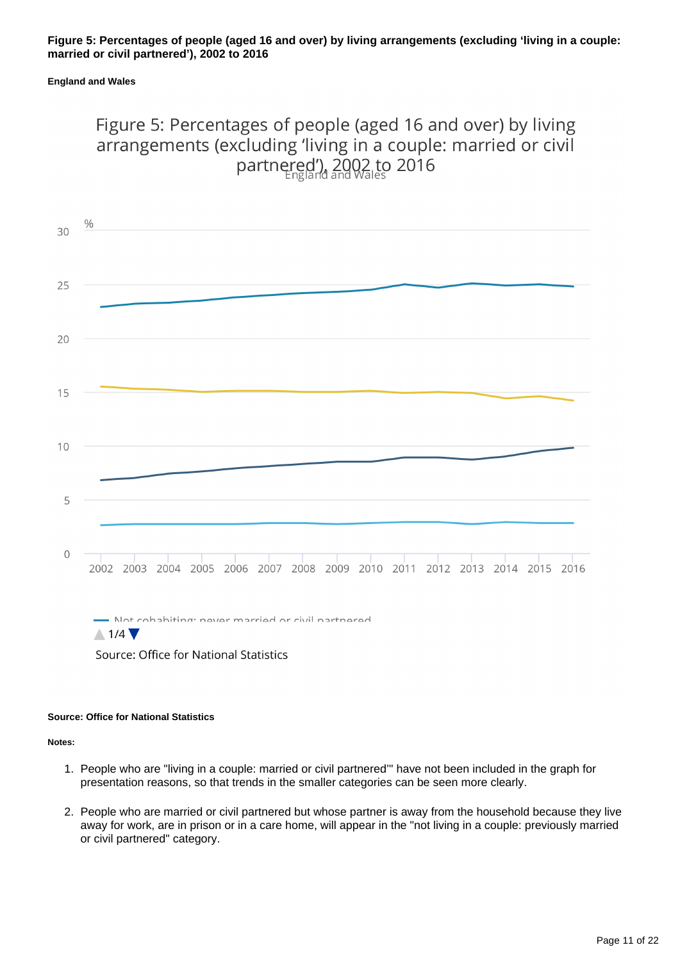#### **Figure 5: Percentages of people (aged 16 and over) by living arrangements (excluding 'living in a couple: married or civil partnered'), 2002 to 2016**

#### **England and Wales**

### Figure 5: Percentages of people (aged 16 and over) by living arrangements (excluding 'living in a couple: married or civil partnered'), 2002 to 2016



 $\triangle$  1/4  $\blacktriangledown$ 

Source: Office for National Statistics

#### **Source: Office for National Statistics**

**Notes:**

- 1. People who are "living in a couple: married or civil partnered'" have not been included in the graph for presentation reasons, so that trends in the smaller categories can be seen more clearly.
- 2. People who are married or civil partnered but whose partner is away from the household because they live away for work, are in prison or in a care home, will appear in the "not living in a couple: previously married or civil partnered" category.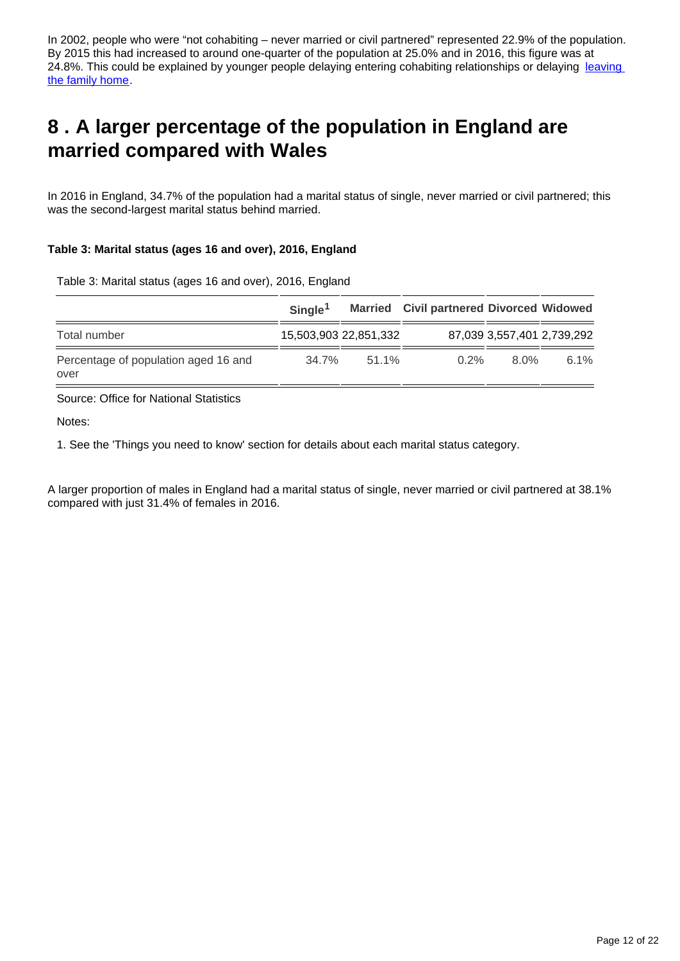In 2002, people who were "not cohabiting – never married or civil partnered" represented 22.9% of the population. By 2015 this had increased to around one-quarter of the population at 25.0% and in 2016, this figure was at 24.8%. This could be explained by younger people delaying entering cohabiting relationships or delaying leaving [the family home.](http://www.ons.gov.uk/peoplepopulationandcommunity/birthsdeathsandmarriages/families/bulletins/familiesandhouseholds/2015-11-05)

### <span id="page-11-0"></span>**8 . A larger percentage of the population in England are married compared with Wales**

In 2016 in England, 34.7% of the population had a marital status of single, never married or civil partnered; this was the second-largest marital status behind married.

### **Table 3: Marital status (ages 16 and over), 2016, England**

Table 3: Marital status (ages 16 and over), 2016, England

|                                              | Single <sup>1</sup> |                       | <b>Married</b> Civil partnered Divorced Widowed |      |                            |
|----------------------------------------------|---------------------|-----------------------|-------------------------------------------------|------|----------------------------|
| Total number                                 |                     | 15,503,903 22,851,332 |                                                 |      | 87,039 3,557,401 2,739,292 |
| Percentage of population aged 16 and<br>over | 34.7%               | $51.1\%$              | $0.2\%$                                         | 8 0% | $6.1\%$                    |

Source: Office for National Statistics

Notes:

1. See the 'Things you need to know' section for details about each marital status category.

A larger proportion of males in England had a marital status of single, never married or civil partnered at 38.1% compared with just 31.4% of females in 2016.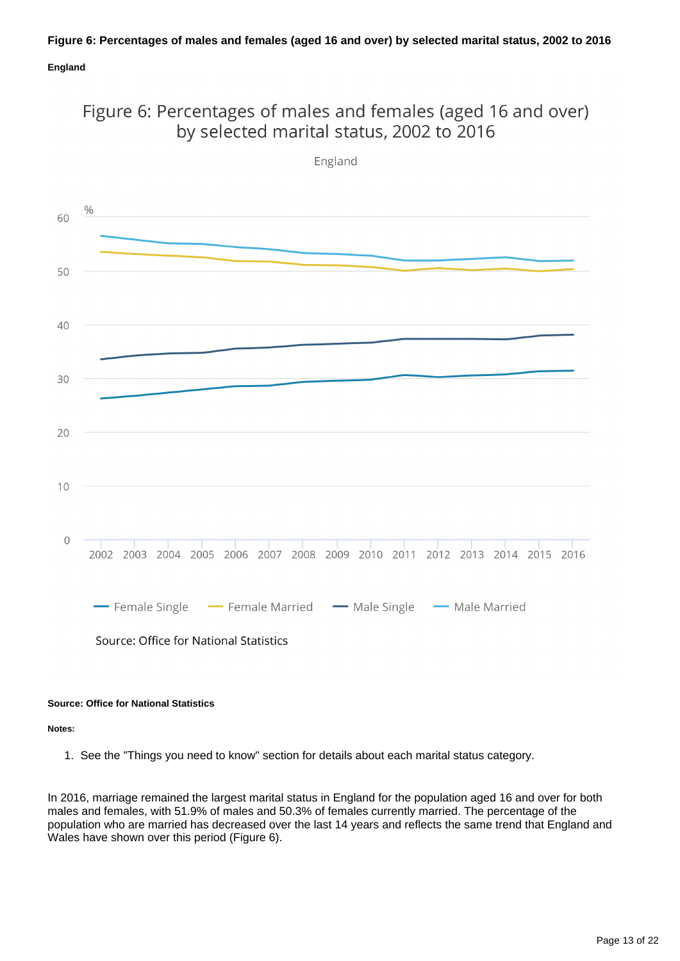### **Figure 6: Percentages of males and females (aged 16 and over) by selected marital status, 2002 to 2016**

### **England**





**Source: Office for National Statistics**

**Notes:**

1. See the "Things you need to know" section for details about each marital status category.

In 2016, marriage remained the largest marital status in England for the population aged 16 and over for both males and females, with 51.9% of males and 50.3% of females currently married. The percentage of the population who are married has decreased over the last 14 years and reflects the same trend that England and Wales have shown over this period (Figure 6).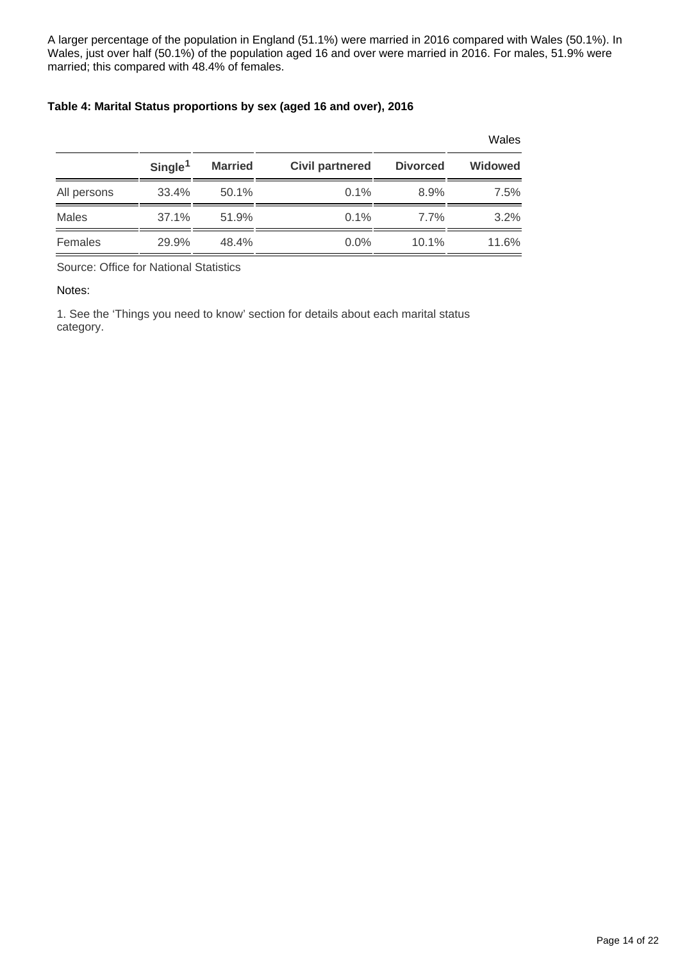A larger percentage of the population in England (51.1%) were married in 2016 compared with Wales (50.1%). In Wales, just over half (50.1%) of the population aged 16 and over were married in 2016. For males, 51.9% were married; this compared with 48.4% of females.

### **Table 4: Marital Status proportions by sex (aged 16 and over), 2016**

|              |                     |                |                        |                 | Wales          |
|--------------|---------------------|----------------|------------------------|-----------------|----------------|
|              | Single <sup>1</sup> | <b>Married</b> | <b>Civil partnered</b> | <b>Divorced</b> | <b>Widowed</b> |
| All persons  | 33.4%               | 50.1%          | $0.1\%$                | 8.9%            | 7.5%           |
| <b>Males</b> | 37.1%               | 51.9%          | $0.1\%$                | $7.7\%$         | 3.2%           |
| Females      | 29.9%               | 48.4%          | $0.0\%$                | $10.1\%$        | 11.6%          |

Source: Office for National Statistics

Notes:

1. See the 'Things you need to know' section for details about each marital status category.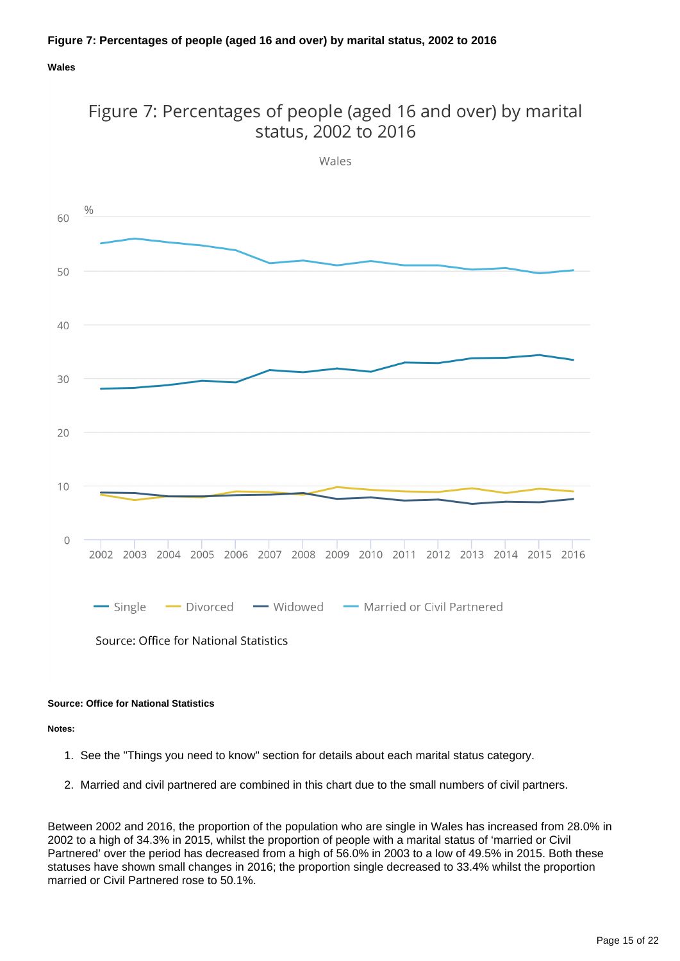### **Wales**



Figure 7: Percentages of people (aged 16 and over) by marital status, 2002 to 2016

#### **Source: Office for National Statistics**

**Notes:**

- 1. See the "Things you need to know" section for details about each marital status category.
- 2. Married and civil partnered are combined in this chart due to the small numbers of civil partners.

Between 2002 and 2016, the proportion of the population who are single in Wales has increased from 28.0% in 2002 to a high of 34.3% in 2015, whilst the proportion of people with a marital status of 'married or Civil Partnered' over the period has decreased from a high of 56.0% in 2003 to a low of 49.5% in 2015. Both these statuses have shown small changes in 2016; the proportion single decreased to 33.4% whilst the proportion married or Civil Partnered rose to 50.1%.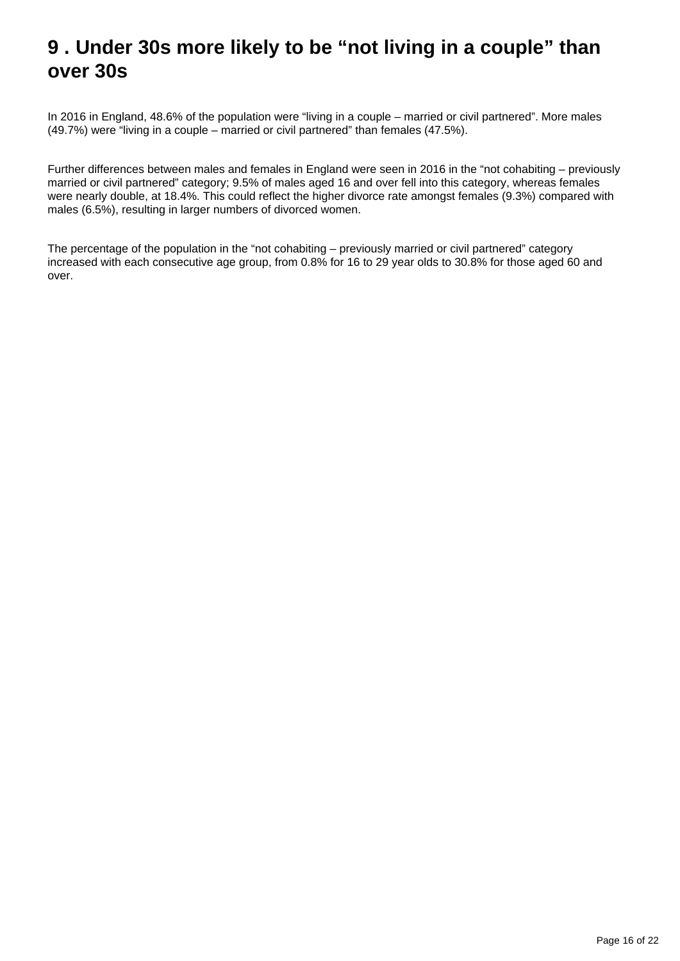### <span id="page-15-0"></span>**9 . Under 30s more likely to be "not living in a couple" than over 30s**

In 2016 in England, 48.6% of the population were "living in a couple – married or civil partnered". More males (49.7%) were "living in a couple – married or civil partnered" than females (47.5%).

Further differences between males and females in England were seen in 2016 in the "not cohabiting – previously married or civil partnered" category; 9.5% of males aged 16 and over fell into this category, whereas females were nearly double, at 18.4%. This could reflect the higher divorce rate amongst females (9.3%) compared with males (6.5%), resulting in larger numbers of divorced women.

The percentage of the population in the "not cohabiting – previously married or civil partnered" category increased with each consecutive age group, from 0.8% for 16 to 29 year olds to 30.8% for those aged 60 and over.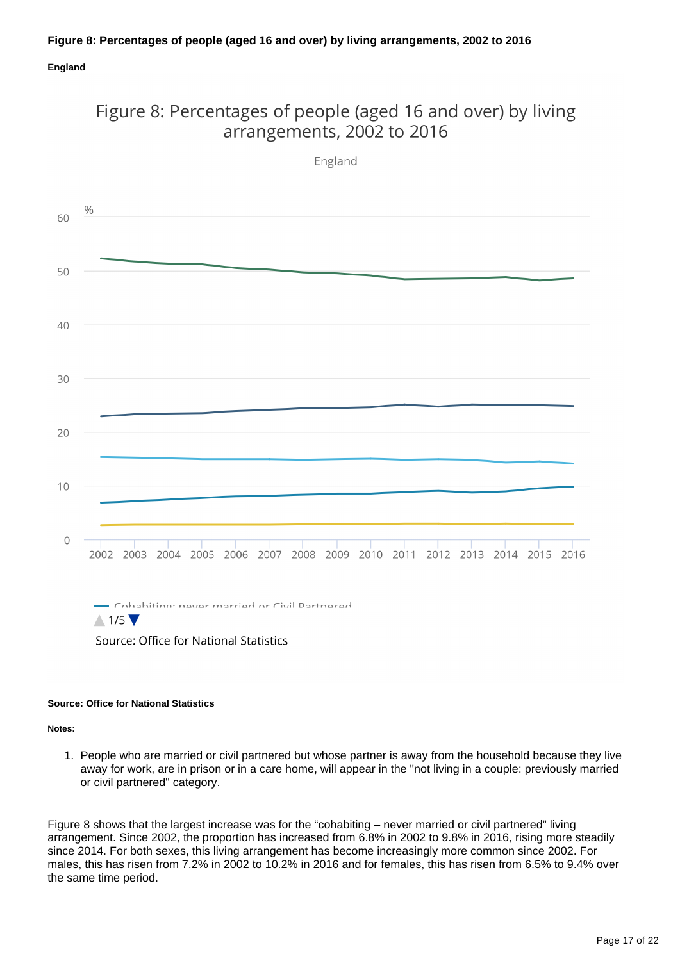### **Figure 8: Percentages of people (aged 16 and over) by living arrangements, 2002 to 2016**

### **England**

### Figure 8: Percentages of people (aged 16 and over) by living arrangements, 2002 to 2016

England

 $\frac{0}{0}$ 60 50 40 30 20  $10$  $\mathbf 0$ 2002 2003 2004 2005 2006 2007 2008 2009 2010 2011 2012 2013 2014 2015 2016 . Cohabiting: naver married or Civil Dartnered

Source: Office for National Statistics

#### **Source: Office for National Statistics**

 $\triangle$  1/5

**Notes:**

1. People who are married or civil partnered but whose partner is away from the household because they live away for work, are in prison or in a care home, will appear in the "not living in a couple: previously married or civil partnered" category.

Figure 8 shows that the largest increase was for the "cohabiting – never married or civil partnered" living arrangement. Since 2002, the proportion has increased from 6.8% in 2002 to 9.8% in 2016, rising more steadily since 2014. For both sexes, this living arrangement has become increasingly more common since 2002. For males, this has risen from 7.2% in 2002 to 10.2% in 2016 and for females, this has risen from 6.5% to 9.4% over the same time period.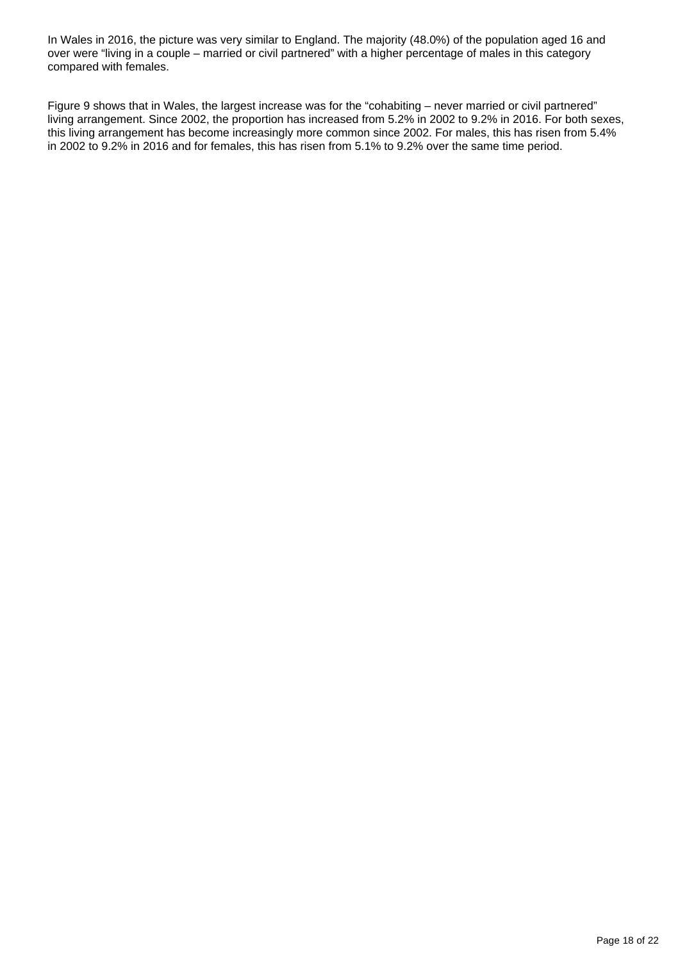In Wales in 2016, the picture was very similar to England. The majority (48.0%) of the population aged 16 and over were "living in a couple – married or civil partnered" with a higher percentage of males in this category compared with females.

Figure 9 shows that in Wales, the largest increase was for the "cohabiting – never married or civil partnered" living arrangement. Since 2002, the proportion has increased from 5.2% in 2002 to 9.2% in 2016. For both sexes, this living arrangement has become increasingly more common since 2002. For males, this has risen from 5.4% in 2002 to 9.2% in 2016 and for females, this has risen from 5.1% to 9.2% over the same time period.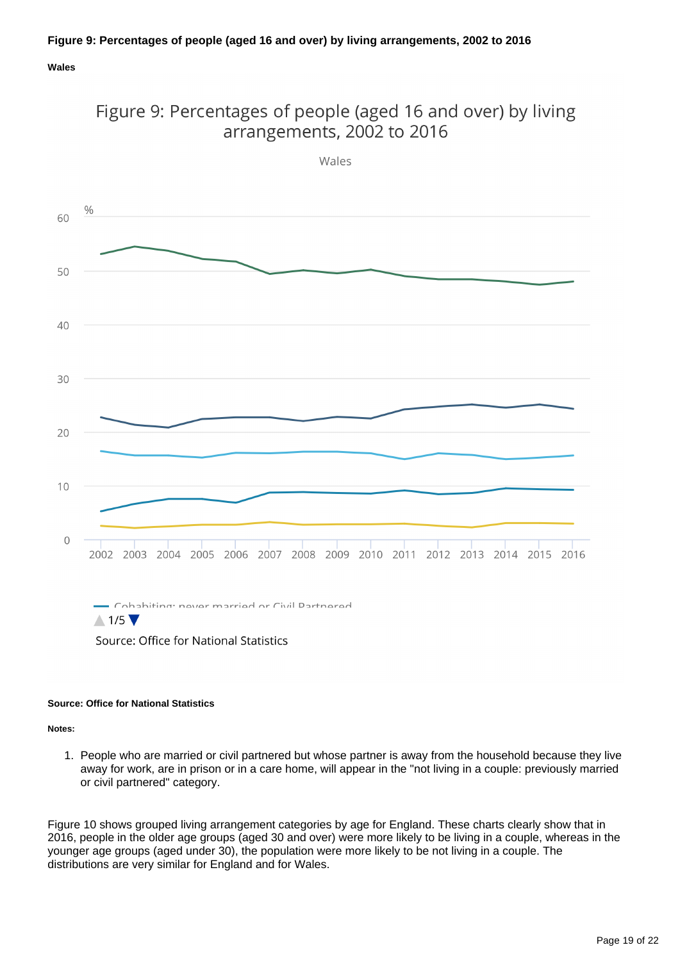### **Figure 9: Percentages of people (aged 16 and over) by living arrangements, 2002 to 2016**

#### **Wales**



Figure 9: Percentages of people (aged 16 and over) by living arrangements, 2002 to 2016

Source: Office for National Statistics

#### **Source: Office for National Statistics**

**Notes:**

1. People who are married or civil partnered but whose partner is away from the household because they live away for work, are in prison or in a care home, will appear in the "not living in a couple: previously married or civil partnered" category.

Figure 10 shows grouped living arrangement categories by age for England. These charts clearly show that in 2016, people in the older age groups (aged 30 and over) were more likely to be living in a couple, whereas in the younger age groups (aged under 30), the population were more likely to be not living in a couple. The distributions are very similar for England and for Wales.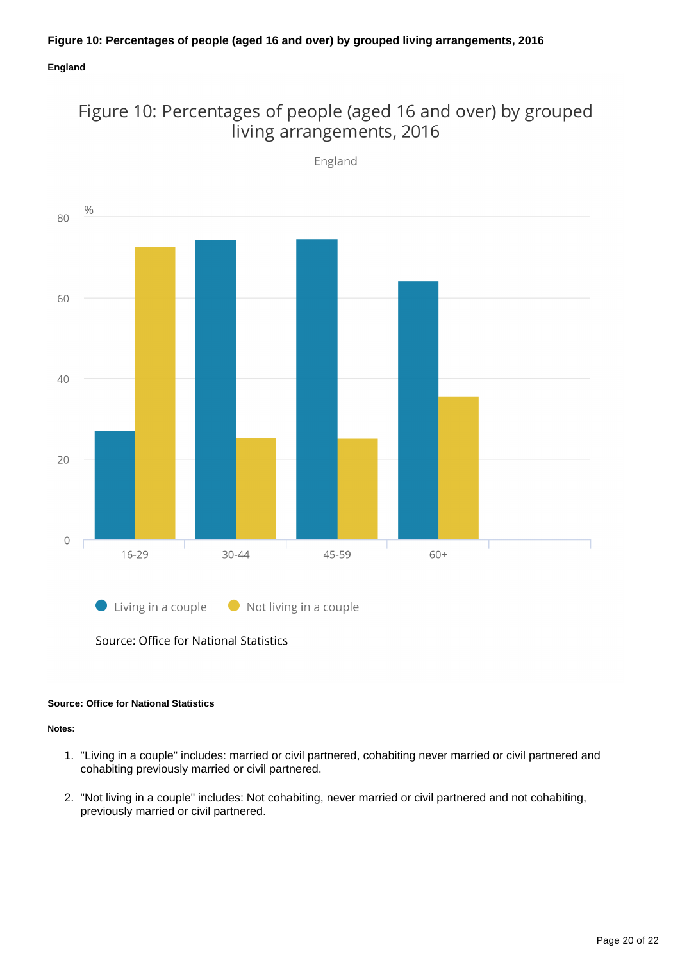### **England**



Figure 10: Percentages of people (aged 16 and over) by grouped living arrangements, 2016

Source: Office for National Statistics

#### **Source: Office for National Statistics**

**Notes:**

- 1. "Living in a couple" includes: married or civil partnered, cohabiting never married or civil partnered and cohabiting previously married or civil partnered.
- 2. "Not living in a couple" includes: Not cohabiting, never married or civil partnered and not cohabiting, previously married or civil partnered.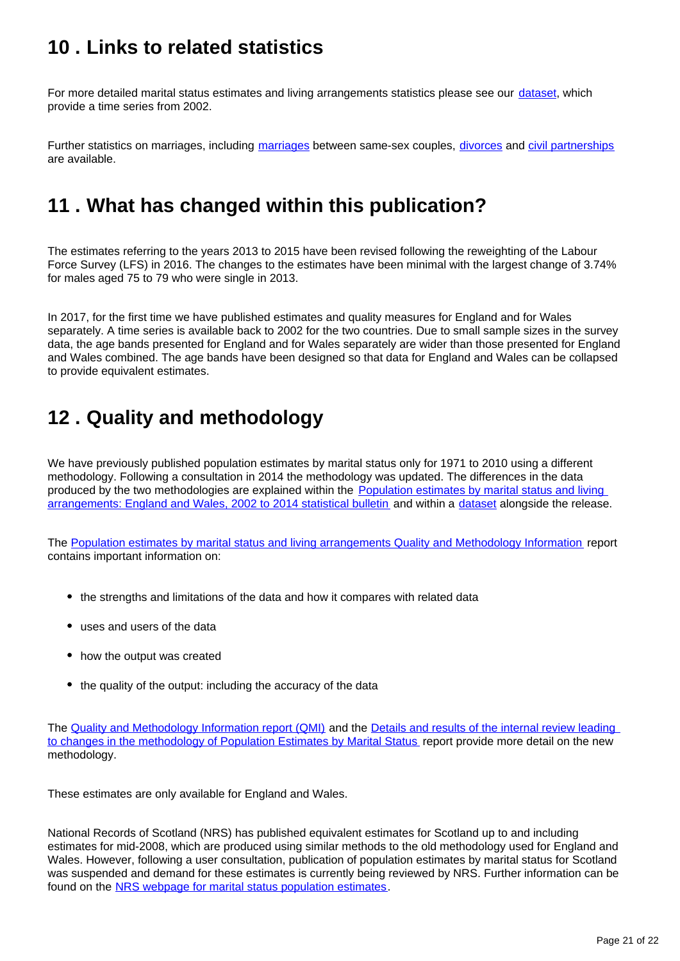# <span id="page-20-0"></span>**10 . Links to related statistics**

For more detailed marital status estimates and living arrangements statistics please see our [dataset](https://www.ons.gov.uk/peoplepopulationandcommunity/populationandmigration/populationestimates/datasets/populationestimatesbymaritalstatusandlivingarrangements), which provide a time series from 2002.

Further statistics on [marriages](https://www.ons.gov.uk/peoplepopulationandcommunity/birthsdeathsandmarriages/marriagecohabitationandcivilpartnerships/bulletins/marriagesinenglandandwalesprovisional/2014), including marriages between same-sex couples, [divorces](https://www.ons.gov.uk/peoplepopulationandcommunity/birthsdeathsandmarriages/divorce/bulletins/divorcesinenglandandwales/2015) and [civil partnerships](https://www.ons.gov.uk/peoplepopulationandcommunity/birthsdeathsandmarriages/marriagecohabitationandcivilpartnerships/bulletins/civilpartnershipsinenglandandwales/2015) are available.

# <span id="page-20-1"></span>**11 . What has changed within this publication?**

The estimates referring to the years 2013 to 2015 have been revised following the reweighting of the Labour Force Survey (LFS) in 2016. The changes to the estimates have been minimal with the largest change of 3.74% for males aged 75 to 79 who were single in 2013.

In 2017, for the first time we have published estimates and quality measures for England and for Wales separately. A time series is available back to 2002 for the two countries. Due to small sample sizes in the survey data, the age bands presented for England and for Wales separately are wider than those presented for England and Wales combined. The age bands have been designed so that data for England and Wales can be collapsed to provide equivalent estimates.

# <span id="page-20-2"></span>**12 . Quality and methodology**

We have previously published population estimates by marital status only for 1971 to 2010 using a different methodology. Following a consultation in 2014 the methodology was updated. The differences in the data produced by the two methodologies are explained within the Population estimates by marital status and living [arrangements: England and Wales, 2002 to 2014 statistical bulletin](https://www.ons.gov.uk/peoplepopulationandcommunity/populationandmigration/populationestimates/bulletins/populationestimatesbymaritalstatusandlivingarrangements/2015-07-08) and within a [dataset](https://www.ons.gov.uk/peoplepopulationandcommunity/populationandmigration/populationestimates/datasets/populationestimatesbymaritalstatusandlivingarrangements) alongside the release.

The [Population estimates by marital status and living arrangements Quality and Methodology Information](https://www.ons.gov.uk/peoplepopulationandcommunity/populationandmigration/populationestimates/qmis/populationestimatesbymaritalstatusandlivingarrangementsqmi) report contains important information on:

- the strengths and limitations of the data and how it compares with related data
- uses and users of the data
- how the output was created
- the quality of the output: including the accuracy of the data

The [Quality and Methodology Information report \(QMI\)](https://www.ons.gov.uk/peoplepopulationandcommunity/populationandmigration/populationestimates/qmis/populationestimatesbymaritalstatusandlivingarrangementsqmi) and the Details and results of the internal review leading [to changes in the methodology of Population Estimates by Marital Status](https://www.ons.gov.uk/peoplepopulationandcommunity/populationandmigration/populationestimates/methodologies/detailsandresultsoftheinternalreviewleadingtochangesinthemethodology) report provide more detail on the new methodology.

These estimates are only available for England and Wales.

National Records of Scotland (NRS) has published equivalent estimates for Scotland up to and including estimates for mid-2008, which are produced using similar methods to the old methodology used for England and Wales. However, following a user consultation, publication of population estimates by marital status for Scotland was suspended and demand for these estimates is currently being reviewed by NRS. Further information can be found on the [NRS webpage for marital status population estimates](http://www.nrscotland.gov.uk/statistics-and-data/statistics/statistics-by-theme/population/population-estimates/estimates-of-special-populations/marital-status-population-estimates).